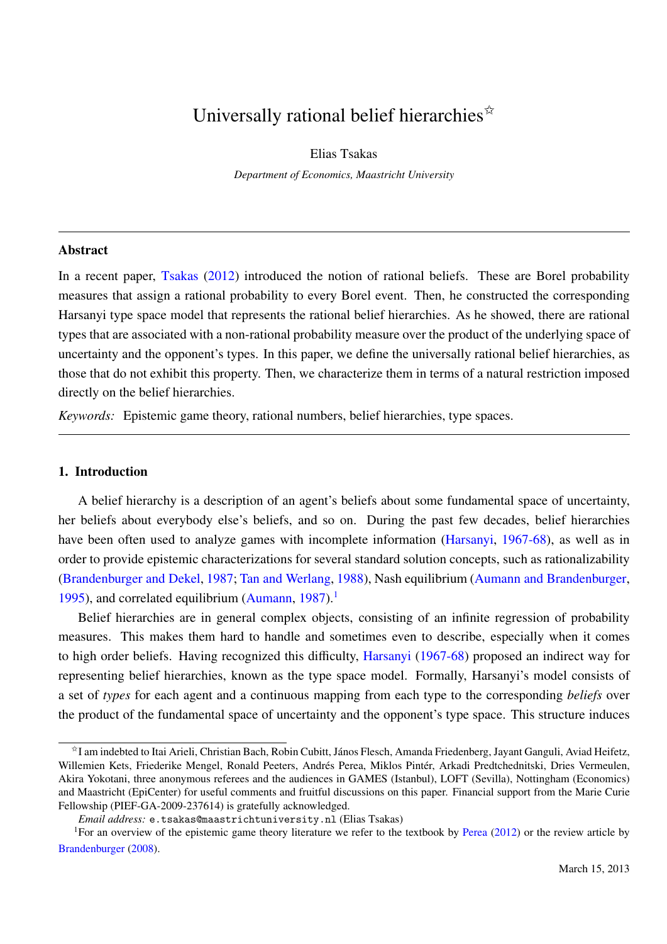# Universally rational belief hierarchies  $\overline{x}$

Elias Tsakas *Department of Economics, Maastricht University*

## Abstract

In a recent paper, Tsakas (2012) introduced the notion of rational beliefs. These are Borel probability measures that assign a rational probability to every Borel event. Then, he constructed the corresponding Harsanyi type space model that represents the rational belief hierarchies. As he showed, there are rational types that are associated with a non-rational probability measure over the product of the underlying space of uncertainty and the opponent's types. In this paper, we define the universally rational belief hierarchies, as those that do not exhibit this property. Then, we characterize them in terms of a natural restriction imposed directly on the belief hierarchies.

*Keywords:* Epistemic game theory, rational numbers, belief hierarchies, type spaces.

# 1. Introduction

A belief hierarchy is a description of an agent's beliefs about some fundamental space of uncertainty, her beliefs about everybody else's beliefs, and so on. During the past few decades, belief hierarchies have been often used to analyze games with incomplete information (Harsanyi, 1967-68), as well as in order to provide epistemic characterizations for several standard solution concepts, such as rationalizability (Brandenburger and Dekel, 1987; Tan and Werlang, 1988), Nash equilibrium (Aumann and Brandenburger, 1995), and correlated equilibrium (Aumann,  $1987$ ).<sup>1</sup>

Belief hierarchies are in general complex objects, consisting of an infinite regression of probability measures. This makes them hard to handle and sometimes even to describe, especially when it comes to high order beliefs. Having recognized this difficulty, Harsanyi (1967-68) proposed an indirect way for representing belief hierarchies, known as the type space model. Formally, Harsanyi's model consists of a set of *types* for each agent and a continuous mapping from each type to the corresponding *beliefs* over the product of the fundamental space of uncertainty and the opponent's type space. This structure induces

<sup>✩</sup>I am indebted to Itai Arieli, Christian Bach, Robin Cubitt, Janos Flesch, Amanda Friedenberg, Jayant Ganguli, Aviad Heifetz, ´ Willemien Kets, Friederike Mengel, Ronald Peeters, Andrés Perea, Miklos Pintér, Arkadi Predtchednitski, Dries Vermeulen, Akira Yokotani, three anonymous referees and the audiences in GAMES (Istanbul), LOFT (Sevilla), Nottingham (Economics) and Maastricht (EpiCenter) for useful comments and fruitful discussions on this paper. Financial support from the Marie Curie Fellowship (PIEF-GA-2009-237614) is gratefully acknowledged.

*Email address:* e.tsakas@maastrichtuniversity.nl (Elias Tsakas)

<sup>&</sup>lt;sup>1</sup>For an overview of the epistemic game theory literature we refer to the textbook by Perea  $(2012)$  or the review article by Brandenburger (2008).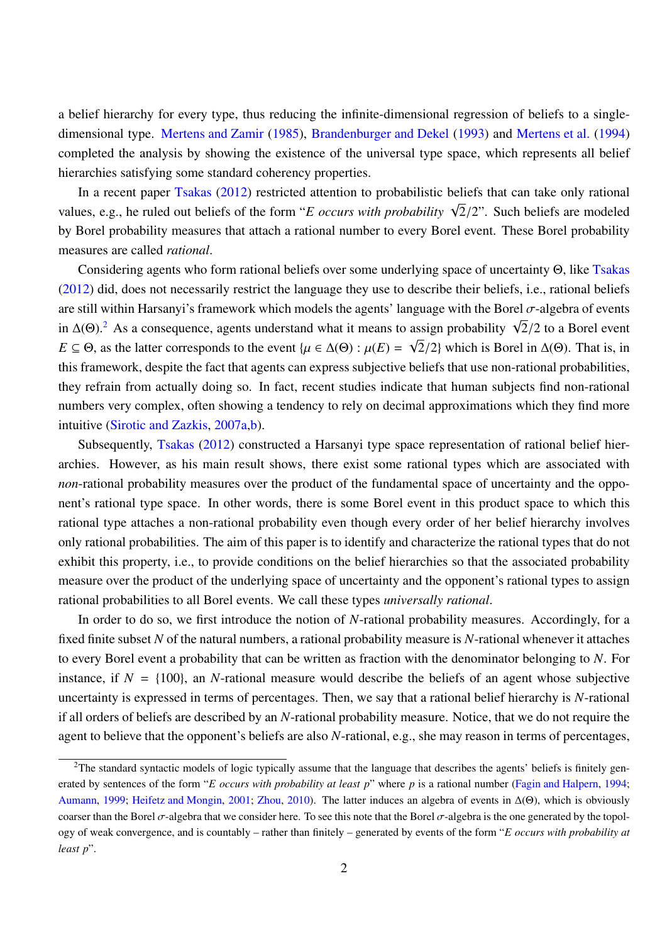a belief hierarchy for every type, thus reducing the infinite-dimensional regression of beliefs to a singledimensional type. Mertens and Zamir (1985), Brandenburger and Dekel (1993) and Mertens et al. (1994) completed the analysis by showing the existence of the universal type space, which represents all belief hierarchies satisfying some standard coherency properties.

In a recent paper Tsakas (2012) restricted attention to probabilistic beliefs that can take only rational values, e.g., he ruled out beliefs of the form "*E occurs with probability*  $\sqrt{2}/2$ ". Such beliefs are modeled by Borel probability measures that attach a rational number to every Borel event. These Borel probability measures are called *rational*.

Considering agents who form rational beliefs over some underlying space of uncertainty Θ, like Tsakas (2012) did, does not necessarily restrict the language they use to describe their beliefs, i.e., rational beliefs are still within Harsanyi's framework which models the agents' language with the Borel  $\sigma$ -algebra of events are sum whilm Harsanyi's Hallework which houses the agents language with the Borel o-algebra of events<br>in  $\Delta(\Theta)$ .<sup>2</sup> As a consequence, agents understand what it means to assign probability  $\sqrt{2}/2$  to a Borel event  $E \subseteq \Theta$ , as the latter corresponds to the event  $\{\mu \in \Delta(\Theta) : \mu(E) = \sqrt{2}/2\}$  which is Borel in  $\Delta(\Theta)$ . That is, in this framework, despite the fact that agents can express subjective beliefs that use non-rational probabilities, they refrain from actually doing so. In fact, recent studies indicate that human subjects find non-rational numbers very complex, often showing a tendency to rely on decimal approximations which they find more intuitive (Sirotic and Zazkis, 2007a,b).

Subsequently, Tsakas (2012) constructed a Harsanyi type space representation of rational belief hierarchies. However, as his main result shows, there exist some rational types which are associated with *non*-rational probability measures over the product of the fundamental space of uncertainty and the opponent's rational type space. In other words, there is some Borel event in this product space to which this rational type attaches a non-rational probability even though every order of her belief hierarchy involves only rational probabilities. The aim of this paper is to identify and characterize the rational types that do not exhibit this property, i.e., to provide conditions on the belief hierarchies so that the associated probability measure over the product of the underlying space of uncertainty and the opponent's rational types to assign rational probabilities to all Borel events. We call these types *universally rational*.

In order to do so, we first introduce the notion of *N*-rational probability measures. Accordingly, for a fixed finite subset *N* of the natural numbers, a rational probability measure is *N*-rational whenever it attaches to every Borel event a probability that can be written as fraction with the denominator belonging to *N*. For instance, if  $N = \{100\}$ , an *N*-rational measure would describe the beliefs of an agent whose subjective uncertainty is expressed in terms of percentages. Then, we say that a rational belief hierarchy is *N*-rational if all orders of beliefs are described by an *N*-rational probability measure. Notice, that we do not require the agent to believe that the opponent's beliefs are also *N*-rational, e.g., she may reason in terms of percentages,

<sup>&</sup>lt;sup>2</sup>The standard syntactic models of logic typically assume that the language that describes the agents' beliefs is finitely generated by sentences of the form "*E occurs with probability at least p*" where *p* is a rational number (Fagin and Halpern, 1994; Aumann, 1999; Heifetz and Mongin, 2001; Zhou, 2010). The latter induces an algebra of events in ∆(Θ), which is obviously coarser than the Borel  $\sigma$ -algebra that we consider here. To see this note that the Borel  $\sigma$ -algebra is the one generated by the topology of weak convergence, and is countably – rather than finitely – generated by events of the form "*E occurs with probability at least p*".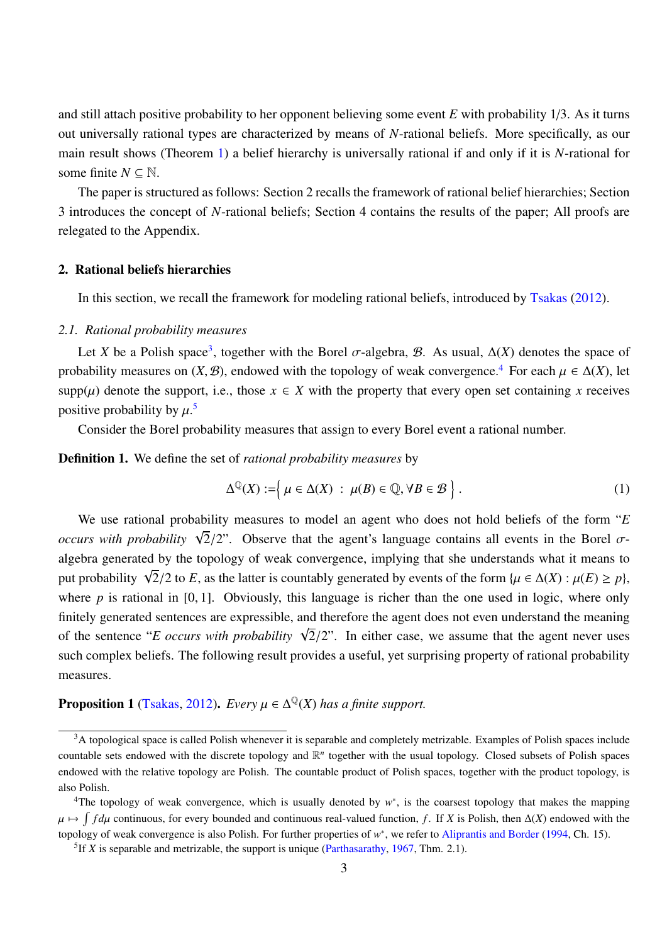and still attach positive probability to her opponent believing some event *E* with probability 1/3. As it turns out universally rational types are characterized by means of *N*-rational beliefs. More specifically, as our main result shows (Theorem 1) a belief hierarchy is universally rational if and only if it is *N*-rational for some finite  $N \subseteq \mathbb{N}$ .

The paper is structured as follows: Section 2 recalls the framework of rational belief hierarchies; Section 3 introduces the concept of *N*-rational beliefs; Section 4 contains the results of the paper; All proofs are relegated to the Appendix.

#### 2. Rational beliefs hierarchies

In this section, we recall the framework for modeling rational beliefs, introduced by Tsakas (2012).

#### *2.1. Rational probability measures*

Let *X* be a Polish space<sup>3</sup>, together with the Borel  $\sigma$ -algebra, *B*. As usual,  $\Delta(X)$  denotes the space of probability measures on  $(X, \mathcal{B})$ , endowed with the topology of weak convergence.<sup>4</sup> For each  $\mu \in \Delta(X)$ , let supp( $\mu$ ) denote the support, i.e., those  $x \in X$  with the property that every open set containing x receives positive probability by  $\mu$ .<sup>5</sup>

Consider the Borel probability measures that assign to every Borel event a rational number.

Definition 1. We define the set of *rational probability measures* by

$$
\Delta^{\mathbb{Q}}(X) := \left\{ \mu \in \Delta(X) \; : \; \mu(B) \in \mathbb{Q}, \forall B \in \mathcal{B} \right\}.
$$
 (1)

We use rational probability measures to model an agent who does not hold beliefs of the form "*E occurs with probability*  $\sqrt{2}/2$ ". Observe that the agent's language contains all events in the Borel  $\sigma$ algebra generated by the topology of weak convergence, implying that she understands what it means to put probability  $\sqrt{2}/2$  to *E*, as the latter is countably generated by events of the form { $\mu \in \Delta(X) : \mu(E) \ge p$ }, where *p* is rational in [0, 1]. Obviously, this language is richer than the one used in logic, where only finitely generated sentences are expressible, and therefore the agent does not even understand the meaning of the sentence "*E occurs with probability*  $\sqrt{2}/2$ ". In either case, we assume that the agent never uses such complex beliefs. The following result provides a useful, yet surprising property of rational probability measures.

# **Proposition 1** (Tsakas, 2012). *Every*  $\mu \in \Delta^{\mathbb{Q}}(X)$  *has a finite support.*

<sup>&</sup>lt;sup>3</sup>A topological space is called Polish whenever it is separable and completely metrizable. Examples of Polish spaces include countable sets endowed with the discrete topology and  $\mathbb{R}^n$  together with the usual topology. Closed subsets of Polish spaces endowed with the relative topology are Polish. The countable product of Polish spaces, together with the product topology, is also Polish.

<sup>&</sup>lt;sup>4</sup>The topology of weak convergence, which is usually denoted by w<sup>\*</sup>, is the coarsest topology that makes the mapping  $\mu \mapsto \int f d\mu$  continuous, for every bounded and continuous real-valued function, *f*. If *X* is Polish, then ∆(*X*) endowed with the topology of weak convergence is also Polish. For further properties of w<sup>\*</sup>, we refer to Aliprantis and Border (1994, Ch. 15).

<sup>&</sup>lt;sup>5</sup> If *X* is separable and metrizable, the support is unique (Parthasarathy, 1967, Thm. 2.1).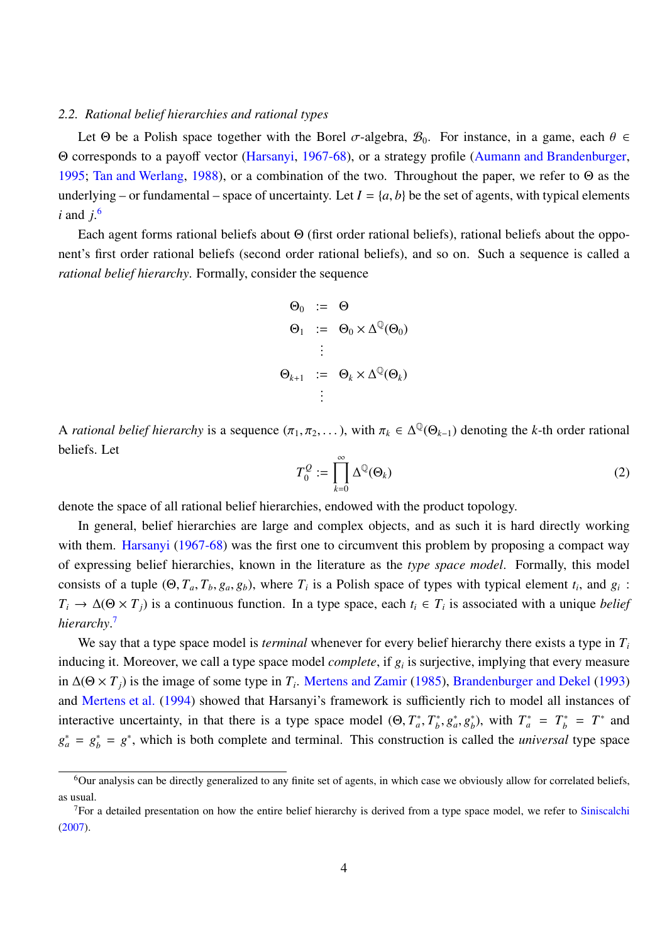#### *2.2. Rational belief hierarchies and rational types*

Let  $\Theta$  be a Polish space together with the Borel  $\sigma$ -algebra,  $\mathcal{B}_0$ . For instance, in a game, each  $\theta \in$ Θ corresponds to a payoff vector (Harsanyi, 1967-68), or a strategy profile (Aumann and Brandenburger, 1995; Tan and Werlang, 1988), or a combination of the two. Throughout the paper, we refer to Θ as the underlying – or fundamental – space of uncertainty. Let  $I = \{a, b\}$  be the set of agents, with typical elements *i* and *j*. 6

Each agent forms rational beliefs about Θ (first order rational beliefs), rational beliefs about the opponent's first order rational beliefs (second order rational beliefs), and so on. Such a sequence is called a *rational belief hierarchy*. Formally, consider the sequence

$$
\Theta_0 := \Theta
$$
  
\n
$$
\Theta_1 := \Theta_0 \times \Delta^{\mathbb{Q}}(\Theta_0)
$$
  
\n
$$
\vdots
$$
  
\n
$$
\Theta_{k+1} := \Theta_k \times \Delta^{\mathbb{Q}}(\Theta_k)
$$
  
\n
$$
\vdots
$$

A *rational belief hierarchy* is a sequence  $(\pi_1, \pi_2, \dots)$ , with  $\pi_k \in \Delta^{\mathbb{Q}}(\Theta_{k-1})$  denoting the *k*-th order rational beliefs. Let

$$
T_0^Q := \prod_{k=0}^{\infty} \Delta^{\mathbb{Q}}(\Theta_k)
$$
 (2)

denote the space of all rational belief hierarchies, endowed with the product topology.

In general, belief hierarchies are large and complex objects, and as such it is hard directly working with them. Harsanyi (1967-68) was the first one to circumvent this problem by proposing a compact way of expressing belief hierarchies, known in the literature as the *type space model*. Formally, this model consists of a tuple  $(\Theta, T_a, T_b, g_a, g_b)$ , where  $T_i$  is a Polish space of types with typical element  $t_i$ , and  $g_i$ :  $T_i \to \Delta(\Theta \times T_j)$  is a continuous function. In a type space, each  $t_i \in T_i$  is associated with a unique *belief hierarchy*. 7

We say that a type space model is *terminal* whenever for every belief hierarchy there exists a type in *T<sup>i</sup>* inducing it. Moreover, we call a type space model *complete*, if *g<sup>i</sup>* is surjective, implying that every measure in  $\Delta(\Theta \times T_j)$  is the image of some type in  $T_i$ . Mertens and Zamir (1985), Brandenburger and Dekel (1993) and Mertens et al. (1994) showed that Harsanyi's framework is sufficiently rich to model all instances of interactive uncertainty, in that there is a type space model  $(\Theta, T_a^*, T_b^*)$  $g^*_{a}, g^*_{a}, g^*_{b}$  $\binom{a}{b}$ , with  $T_a^* = T_b^* = T^*$  and  $g_a^* = g_b^* = g^*$ , which is both complete and terminal. This construction is called the *universal* type space

<sup>6</sup>Our analysis can be directly generalized to any finite set of agents, in which case we obviously allow for correlated beliefs, as usual.

 $<sup>7</sup>$  For a detailed presentation on how the entire belief hierarchy is derived from a type space model, we refer to Siniscalchi</sup> (2007).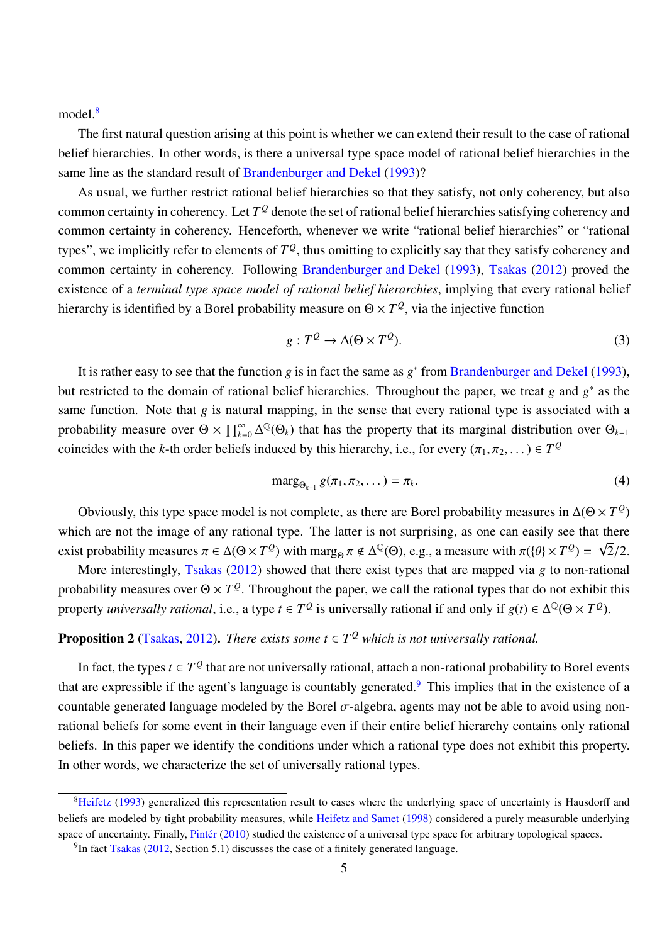model.<sup>8</sup>

The first natural question arising at this point is whether we can extend their result to the case of rational belief hierarchies. In other words, is there a universal type space model of rational belief hierarchies in the same line as the standard result of Brandenburger and Dekel (1993)?

As usual, we further restrict rational belief hierarchies so that they satisfy, not only coherency, but also common certainty in coherency. Let  $T^{\mathcal{Q}}$  denote the set of rational belief hierarchies satisfying coherency and common certainty in coherency. Henceforth, whenever we write "rational belief hierarchies" or "rational types", we implicitly refer to elements of  $T^{\mathcal{Q}},$  thus omitting to explicitly say that they satisfy coherency and common certainty in coherency. Following Brandenburger and Dekel (1993), Tsakas (2012) proved the existence of a *terminal type space model of rational belief hierarchies*, implying that every rational belief hierarchy is identified by a Borel probability measure on  $\Theta \times T^{\mathcal{Q}}$ , via the injective function

$$
g: T^{\mathcal{Q}} \to \Delta(\Theta \times T^{\mathcal{Q}}). \tag{3}
$$

It is rather easy to see that the function *g* is in fact the same as *g*<sup>\*</sup> from Brandenburger and Dekel (1993), but restricted to the domain of rational belief hierarchies. Throughout the paper, we treat *g* and *g* ∗ as the same function. Note that *g* is natural mapping, in the sense that every rational type is associated with a probability measure over  $\Theta \times \prod_{k=0}^{\infty} \Delta^{\mathbb{Q}}(\Theta_k)$  that has the property that its marginal distribution over  $\Theta_{k-1}$ coincides with the *k*-th order beliefs induced by this hierarchy, i.e., for every  $(\pi_1, \pi_2, ...) \in T^Q$ 

$$
\operatorname{marg}_{\Theta_{k-1}} g(\pi_1, \pi_2, \dots) = \pi_k. \tag{4}
$$

Obviously, this type space model is not complete, as there are Borel probability measures in  $\Delta(\Theta \times T^Q)$ which are not the image of any rational type. The latter is not surprising, as one can easily see that there exist probability measures  $\pi \in \Delta(\Theta \times T^Q)$  with marg<sub> $\Theta$ </sub>  $\pi \notin \Delta^Q(\Theta)$ , e.g., a measure with  $\pi(\{\theta\} \times T^Q)$  = √ 2/2.

More interestingly, Tsakas (2012) showed that there exist types that are mapped via *g* to non-rational probability measures over  $\Theta \times T^{\mathcal{Q}}$ . Throughout the paper, we call the rational types that do not exhibit this property *universally rational*, i.e., a type  $t \in T^Q$  is universally rational if and only if  $g(t) \in \Delta^Q(\Theta \times T^Q)$ .

# **Proposition 2** (Tsakas, 2012). *There exists some*  $t \in T^Q$  *which is not universally rational.*

In fact, the types  $t \in T^Q$  that are not universally rational, attach a non-rational probability to Borel events that are expressible if the agent's language is countably generated.<sup>9</sup> This implies that in the existence of a countable generated language modeled by the Borel  $\sigma$ -algebra, agents may not be able to avoid using nonrational beliefs for some event in their language even if their entire belief hierarchy contains only rational beliefs. In this paper we identify the conditions under which a rational type does not exhibit this property. In other words, we characterize the set of universally rational types.

<sup>&</sup>lt;sup>8</sup>Heifetz (1993) generalized this representation result to cases where the underlying space of uncertainty is Hausdorff and beliefs are modeled by tight probability measures, while Heifetz and Samet (1998) considered a purely measurable underlying space of uncertainty. Finally, Pintér (2010) studied the existence of a universal type space for arbitrary topological spaces.

 $9$ In fact Tsakas (2012, Section 5.1) discusses the case of a finitely generated language.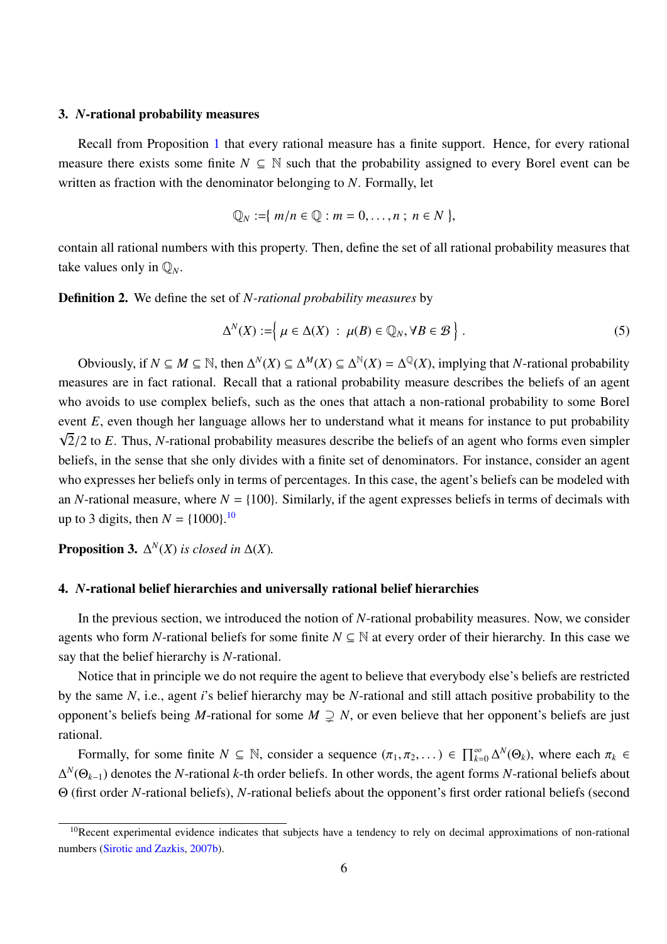#### 3. *N*-rational probability measures

Recall from Proposition 1 that every rational measure has a finite support. Hence, for every rational measure there exists some finite  $N \subseteq \mathbb{N}$  such that the probability assigned to every Borel event can be written as fraction with the denominator belonging to *N*. Formally, let

$$
\mathbb{Q}_N := \{ m/n \in \mathbb{Q} : m = 0, \ldots, n ; n \in N \},
$$

contain all rational numbers with this property. Then, define the set of all rational probability measures that take values only in  $\mathbb{Q}_N$ .

Definition 2. We define the set of *N-rational probability measures* by

$$
\Delta^N(X) := \left\{ \mu \in \Delta(X) \; : \; \mu(B) \in \mathbb{Q}_N, \forall B \in \mathcal{B} \right\}.
$$
 (5)

Obviously, if  $N \subseteq M \subseteq \mathbb{N}$ , then  $\Delta^N(X) \subseteq \Delta^M(X) \subseteq \Delta^{\mathbb{N}}(X) = \Delta^{\mathbb{Q}}(X)$ , implying that *N*-rational probability measures are in fact rational. Recall that a rational probability measure describes the beliefs of an agent who avoids to use complex beliefs, such as the ones that attach a non-rational probability to some Borel event *E*, even though her language allows her to understand what it means for instance to put probability  $\sqrt{2}/2$  to *E*. Thus, *N*-rational probability measures describe the beliefs of an agent who forms even simpler beliefs, in the sense that she only divides with a finite set of denominators. For instance, consider an agent who expresses her beliefs only in terms of percentages. In this case, the agent's beliefs can be modeled with an *N*-rational measure, where  $N = \{100\}$ . Similarly, if the agent expresses beliefs in terms of decimals with up to 3 digits, then  $N = \{1000\}$ .<sup>10</sup>

**Proposition 3.**  $\Delta^N(X)$  *is closed in*  $\Delta(X)$ *.* 

### 4. *N*-rational belief hierarchies and universally rational belief hierarchies

In the previous section, we introduced the notion of *N*-rational probability measures. Now, we consider agents who form *N*-rational beliefs for some finite  $N \subseteq \mathbb{N}$  at every order of their hierarchy. In this case we say that the belief hierarchy is *N*-rational.

Notice that in principle we do not require the agent to believe that everybody else's beliefs are restricted by the same *N*, i.e., agent *i*'s belief hierarchy may be *N*-rational and still attach positive probability to the opponent's beliefs being *M*-rational for some  $M \supsetneq N$ , or even believe that her opponent's beliefs are just rational.

Formally, for some finite  $N \subseteq \mathbb{N}$ , consider a sequence  $(\pi_1, \pi_2, ...) \in \prod_{k=0}^{\infty} \Delta^N(\Theta_k)$ , where each  $\pi_k \in$ ∆ *N* (Θ*k*−1) denotes the *N*-rational *k*-th order beliefs. In other words, the agent forms *N*-rational beliefs about Θ (first order *N*-rational beliefs), *N*-rational beliefs about the opponent's first order rational beliefs (second

<sup>&</sup>lt;sup>10</sup>Recent experimental evidence indicates that subjects have a tendency to rely on decimal approximations of non-rational numbers (Sirotic and Zazkis, 2007b).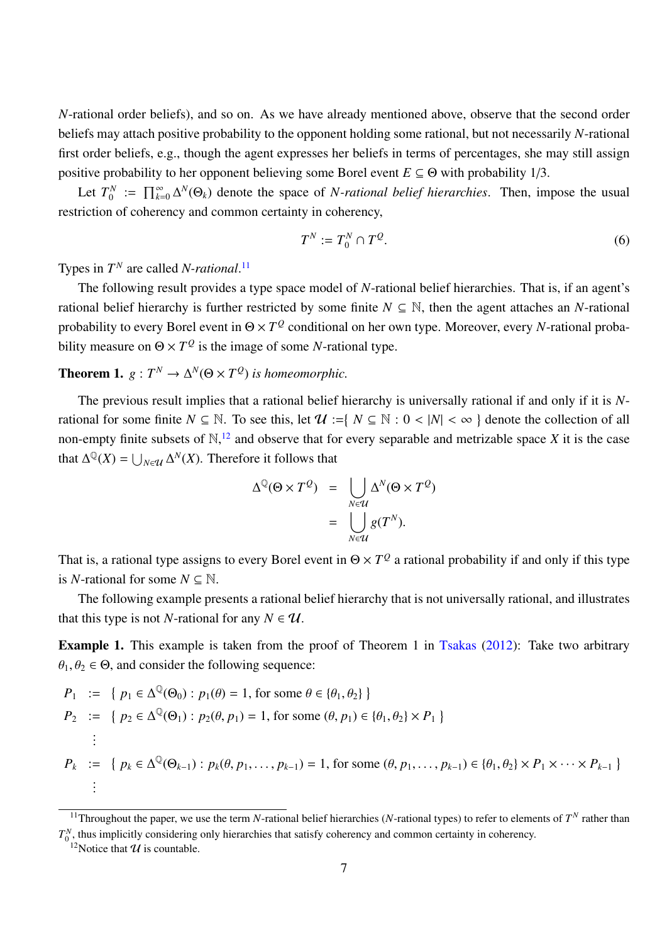*N*-rational order beliefs), and so on. As we have already mentioned above, observe that the second order beliefs may attach positive probability to the opponent holding some rational, but not necessarily *N*-rational first order beliefs, e.g., though the agent expresses her beliefs in terms of percentages, she may still assign positive probability to her opponent believing some Borel event  $E \subseteq \Theta$  with probability 1/3.

Let  $T_0^N$  $\prod_{k=0}^N$  :=  $\prod_{k=0}^{\infty} \Delta^N(\Theta_k)$  denote the space of *N-rational belief hierarchies*. Then, impose the usual restriction of coherency and common certainty in coherency,

$$
T^N := T_0^N \cap T^Q. \tag{6}
$$

Types in  $T^N$  are called *N-rational*.<sup>11</sup>

The following result provides a type space model of *N*-rational belief hierarchies. That is, if an agent's rational belief hierarchy is further restricted by some finite  $N \subseteq \mathbb{N}$ , then the agent attaches an *N*-rational probability to every Borel event in Θ × *T Q* conditional on her own type. Moreover, every *N*-rational probability measure on  $\Theta \times T^{\mathcal{Q}}$  is the image of some *N*-rational type.

# **Theorem 1.**  $g: T^N \to \Delta^N(\Theta \times T^Q)$  *is homeomorphic.*

The previous result implies that a rational belief hierarchy is universally rational if and only if it is *N*rational for some finite  $N \subseteq \mathbb{N}$ . To see this, let  $\mathcal{U} := \{ N \subseteq \mathbb{N} : 0 < |N| < \infty \}$  denote the collection of all non-empty finite subsets of  $\mathbb{N}$ ,  $\mathbb{N}$  and observe that for every separable and metrizable space *X* it is the case that  $\Delta^{\mathbb{Q}}(X) = \bigcup_{N \in \mathcal{U}} \Delta^N(X)$ . Therefore it follows that

$$
\Delta^{\mathbb{Q}}(\Theta \times T^{\mathcal{Q}}) = \bigcup_{N \in \mathcal{U}} \Delta^N(\Theta \times T^{\mathcal{Q}})
$$

$$
= \bigcup_{N \in \mathcal{U}} g(T^N).
$$

That is, a rational type assigns to every Borel event in  $\Theta \times T^Q$  a rational probability if and only if this type is *N*-rational for some  $N \subseteq \mathbb{N}$ .

The following example presents a rational belief hierarchy that is not universally rational, and illustrates that this type is not *N*-rational for any  $N \in \mathcal{U}$ .

**Example 1.** This example is taken from the proof of Theorem 1 in Tsakas (2012): Take two arbitrary  $\theta_1, \theta_2 \in \Theta$ , and consider the following sequence:

$$
P_1 := \{ p_1 \in \Delta^{\mathbb{Q}}(\Theta_0) : p_1(\theta) = 1, \text{ for some } \theta \in \{\theta_1, \theta_2\} \}
$$
  
\n
$$
P_2 := \{ p_2 \in \Delta^{\mathbb{Q}}(\Theta_1) : p_2(\theta, p_1) = 1, \text{ for some } (\theta, p_1) \in \{\theta_1, \theta_2\} \times P_1 \}
$$
  
\n
$$
\vdots
$$
  
\n
$$
P_k := \{ p_k \in \Delta^{\mathbb{Q}}(\Theta_{k-1}) : p_k(\theta, p_1, \dots, p_{k-1}) = 1, \text{ for some } (\theta, p_1, \dots, p_{k-1}) \in \{\theta_1, \theta_2\} \times P_1 \times \dots \times P_{k-1} \}
$$
  
\n
$$
\vdots
$$

<sup>&</sup>lt;sup>11</sup>Throughout the paper, we use the term *N*-rational belief hierarchies (*N*-rational types) to refer to elements of  $T<sup>N</sup>$  rather than  $T_0^N$ , thus implicitly considering only hierarchies that satisfy coherency and common certainty in coherency.

<sup>&</sup>lt;sup>12</sup>Notice that  $U$  is countable.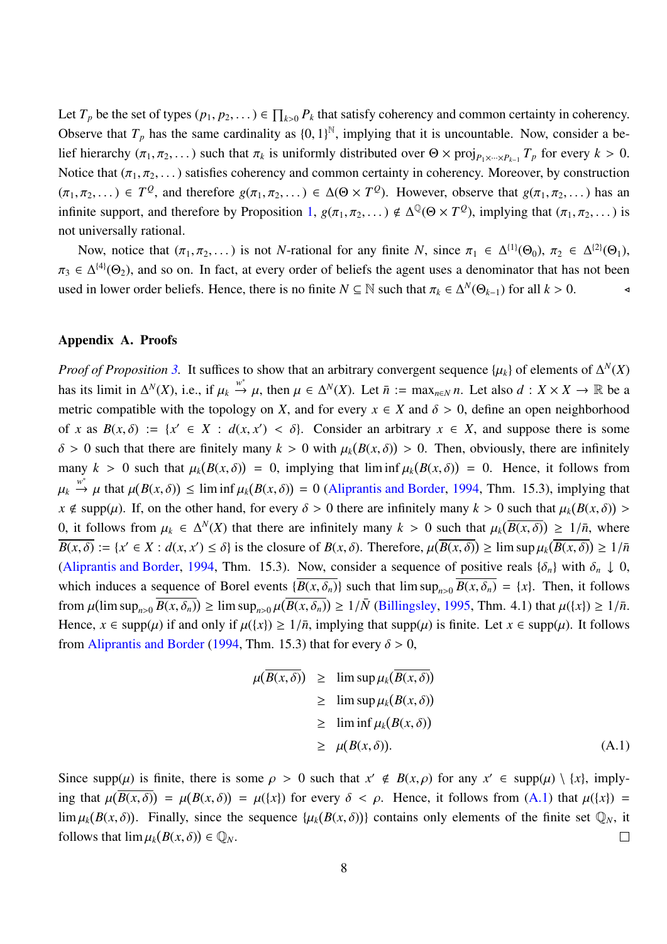Let  $T_p$  be the set of types  $(p_1, p_2, \dots) \in \prod_{k>0} P_k$  that satisfy coherency and common certainty in coherency. Observe that  $T_p$  has the same cardinality as  $\{0, 1\}^{\mathbb{N}}$ , implying that it is uncountable. Now, consider a belief hierarchy  $(\pi_1, \pi_2, \dots)$  such that  $\pi_k$  is uniformly distributed over  $\Theta \times \text{proj}_{P_1 \times \dots \times P_{k-1}} T_p$  for every  $k > 0$ . Notice that  $(\pi_1, \pi_2, ...)$  satisfies coherency and common certainty in coherency. Moreover, by construction  $(\pi_1, \pi_2, \dots) \in T^{\mathcal{Q}}$ , and therefore  $g(\pi_1, \pi_2, \dots) \in \Delta(\Theta \times T^{\mathcal{Q}})$ . However, observe that  $g(\pi_1, \pi_2, \dots)$  has an infinite support, and therefore by Proposition 1,  $g(\pi_1, \pi_2, ...) \notin \Delta^{\mathbb{Q}}(\Theta \times T^{\mathcal{Q}})$ , implying that  $(\pi_1, \pi_2, ...)$  is not universally rational.

Now, notice that  $(\pi_1, \pi_2, ...)$  is not *N*-rational for any finite *N*, since  $\pi_1 \in \Delta^{\{1\}}(\Theta_0)$ ,  $\pi_2 \in \Delta^{\{2\}}(\Theta_1)$ ,  $\pi_3 \in \Delta^{\{4\}}(\Theta_2)$ , and so on. In fact, at every order of beliefs the agent uses a denominator that has not been used in lower order beliefs. Hence, there is no finite  $N \subseteq \mathbb{N}$  such that  $\pi_k \in \Delta^N(\Theta_{k-1})$  for all  $k > 0$ .

### Appendix A. Proofs

*Proof of Proposition* 3. It suffices to show that an arbitrary convergent sequence  $\{\mu_k\}$  of elements of  $\Delta^N(X)$ has its limit in  $\Delta^N(X)$ , i.e., if  $\mu_k \stackrel{w^*}{\to} \mu$ , then  $\mu \in \Delta^N(X)$ . Let  $\bar{n} := \max_{n \in \mathbb{N}} n$ . Let also  $d : X \times X \to \mathbb{R}$  be a metric compatible with the topology on *X*, and for every  $x \in X$  and  $\delta > 0$ , define an open neighborhood of *x* as  $B(x, \delta) := \{x' \in X : d(x, x') < \delta\}$ . Consider an arbitrary  $x \in X$ , and suppose there is some  $\delta > 0$  such that there are finitely many  $k > 0$  with  $\mu_k(B(x, \delta)) > 0$ . Then, obviously, there are infinitely many  $k > 0$  such that  $\mu_k(B(x, \delta)) = 0$ , implying that lim inf  $\mu_k(B(x, \delta)) = 0$ . Hence, it follows from  $\mu_k \stackrel{w^*}{\to} \mu$  that  $\mu(B(x, \delta)) \leq \liminf \mu_k(B(x, \delta)) = 0$  (Aliprantis and Border, 1994, Thm. 15.3), implying that  $x \notin \text{supp}(\mu)$ . If, on the other hand, for every  $\delta > 0$  there are infinitely many  $k > 0$  such that  $\mu_k(B(x, \delta)) >$ 0, it follows from  $\mu_k \in \Delta^N(X)$  that there are infinitely many  $k > 0$  such that  $\mu_k(\overline{B(x,\delta)}) \ge 1/\overline{n}$ , where  $\overline{B(x,\delta)} := \{x' \in X : d(x,x') \leq \delta\}$  is the closure of  $B(x,\delta)$ . Therefore,  $\mu(\overline{B(x,\delta)}) \geq \limsup \mu_k(\overline{B(x,\delta)}) \geq 1/\overline{n}$ (Aliprantis and Border, 1994, Thm. 15.3). Now, consider a sequence of positive reals  $\{\delta_n\}$  with  $\delta_n \downarrow 0$ , which induces a sequence of Borel events  $\{\overline{B(x, \delta_n)}\}$  such that  $\limsup_{n>0} \overline{B(x, \delta_n)} = \{x\}$ . Then, it follows from  $\mu(\limsup_{n>0} \overline{B(x, \delta_n)}) \ge \limsup_{n>0} \mu(\overline{B(x, \delta_n)}) \ge 1/\overline{N}$  (Billingsley, 1995, Thm. 4.1) that  $\mu({x}) \ge 1/\overline{n}$ . Hence,  $x \in \text{supp}(\mu)$  if and only if  $\mu({x}) \ge 1/\bar{n}$ , implying that  $\text{supp}(\mu)$  is finite. Let  $x \in \text{supp}(\mu)$ . It follows from Aliprantis and Border (1994, Thm. 15.3) that for every  $\delta > 0$ ,

$$
\mu(\overline{B(x,\delta)}) \geq \limsup \mu_k(\overline{B(x,\delta)})
$$
  
\n
$$
\geq \limsup \mu_k(B(x,\delta))
$$
  
\n
$$
\geq \liminf \mu_k(B(x,\delta))
$$
  
\n
$$
\geq \mu(B(x,\delta)).
$$
 (A.1)

Since supp $(\mu)$  is finite, there is some  $\rho > 0$  such that  $x' \notin B(x, \rho)$  for any  $x' \in \text{supp}(\mu) \setminus \{x\}$ , implying that  $\mu(\overline{B(x,\delta)}) = \mu(B(x,\delta)) = \mu(\lbrace x \rbrace)$  for every  $\delta < \rho$ . Hence, it follows from (A.1) that  $\mu(\lbrace x \rbrace) =$  $\lim \mu_k(B(x,\delta))$ . Finally, since the sequence  $\{\mu_k(B(x,\delta))\}$  contains only elements of the finite set  $\mathbb{Q}_N$ , it follows that  $\lim \mu_k(B(x,\delta)) \in \mathbb{Q}_N$ .  $\Box$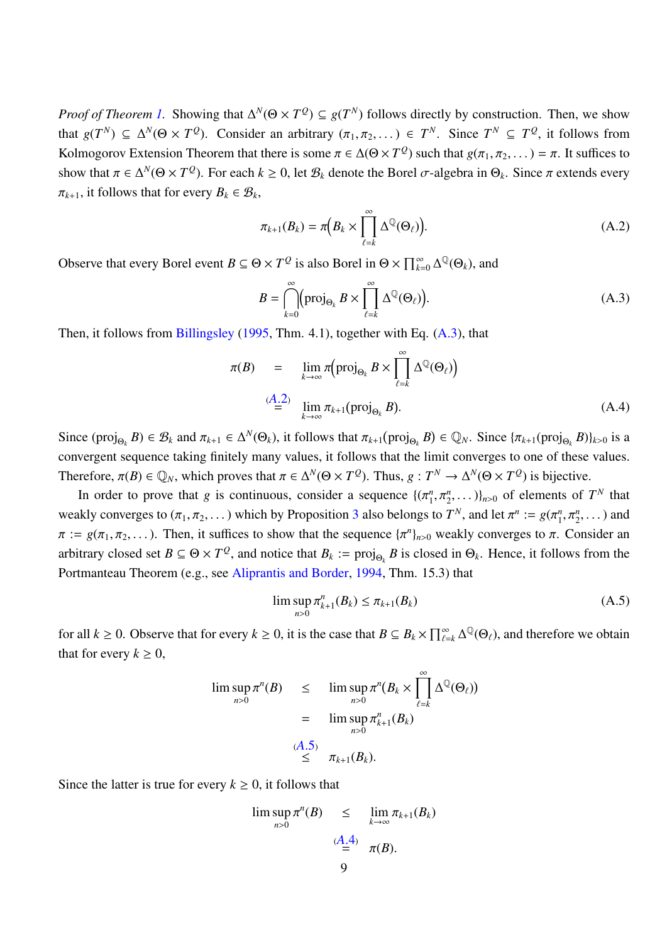*Proof of Theorem 1.* Showing that  $\Delta^N(\Theta \times T^Q) \subseteq g(T^N)$  follows directly by construction. Then, we show that  $g(T^N) \subseteq \Delta^N(\Theta \times T^Q)$ . Consider an arbitrary  $(\pi_1, \pi_2, ...) \in T^N$ . Since  $T^N \subseteq T^Q$ , it follows from Kolmogorov Extension Theorem that there is some  $\pi \in \Delta(\Theta \times T^Q)$  such that  $g(\pi_1, \pi_2, ...) = \pi$ . It suffices to show that  $\pi \in \Delta^N(\Theta \times T^Q)$ . For each  $k \ge 0$ , let  $\mathcal{B}_k$  denote the Borel  $\sigma$ -algebra in  $\Theta_k$ . Since  $\pi$  extends every  $\pi_{k+1}$ , it follows that for every  $B_k \in \mathcal{B}_k$ ,

$$
\pi_{k+1}(B_k) = \pi \Big( B_k \times \prod_{\ell=k}^{\infty} \Delta^{\mathbb{Q}}(\Theta_{\ell}) \Big). \tag{A.2}
$$

Observe that every Borel event  $B \subseteq \Theta \times T^{\mathcal{Q}}$  is also Borel in  $\Theta \times \prod_{k=0}^{\infty} \Delta^{\mathbb{Q}}(\Theta_k)$ , and

$$
B = \bigcap_{k=0}^{\infty} \left( \text{proj}_{\Theta_k} B \times \prod_{\ell=k}^{\infty} \Delta^{\mathbb{Q}}(\Theta_{\ell}) \right). \tag{A.3}
$$

Then, it follows from Billingsley (1995, Thm. 4.1), together with Eq. (A.3), that

$$
\pi(B) = \lim_{k \to \infty} \pi(\text{proj}_{\Theta_k} B \times \prod_{\ell=k}^{\infty} \Delta^{\mathbb{Q}}(\Theta_{\ell})
$$
\n
$$
\stackrel{(A.2)}{=} \lim_{k \to \infty} \pi_{k+1}(\text{proj}_{\Theta_k} B). \tag{A.4}
$$

Since  $(\text{proj}_{\Theta_k} B) \in \mathcal{B}_k$  and  $\pi_{k+1} \in \Delta^N(\Theta_k)$ , it follows that  $\pi_{k+1}(\text{proj}_{\Theta_k} B) \in \mathbb{Q}_N$ . Since  $\{\pi_{k+1}(\text{proj}_{\Theta_k} B)\}_{k>0}$  is a convergent sequence taking finitely many values, it follows that the limit converges to one of these values. Therefore,  $\pi(B) \in \mathbb{Q}_N$ , which proves that  $\pi \in \Delta^N(\Theta \times T^Q)$ . Thus,  $g: T^N \to \Delta^N(\Theta \times T^Q)$  is bijective.

In order to prove that *g* is continuous, consider a sequence  $\{(\pi_1^n, \pi_2^n\})$  $\{n_1^n, \pi_2^n, \dots\}$ <sub>n>0</sub> of elements of  $T^N$  that weakly converges to  $(\pi_1, \pi_2, ...)$  which by Proposition 3 also belongs to  $T^N$ , and let  $\pi^n := g(\pi_1^n)$  $\pi_1^n, \pi_2^n, \ldots$ ) and  $\pi := g(\pi_1, \pi_2, \dots)$ . Then, it suffices to show that the sequence  $\{\pi^n\}_{n>0}$  weakly converges to  $\pi$ . Consider an arbitrary closed set  $B \subseteq \Theta \times T^Q$ , and notice that  $B_k := \text{proj}_{\Theta_k} B$  is closed in  $\Theta_k$ . Hence, it follows from the Portmanteau Theorem (e.g., see Aliprantis and Border, 1994, Thm. 15.3) that

$$
\limsup_{n>0} \pi_{k+1}^n(B_k) \le \pi_{k+1}(B_k)
$$
\n(A.5)

for all  $k \ge 0$ . Observe that for every  $k \ge 0$ , it is the case that  $B \subseteq B_k \times \prod_{\ell=k}^{\infty} \Delta^{\mathbb{Q}}(\Theta_{\ell})$ , and therefore we obtain that for every  $k \geq 0$ ,

$$
\limsup_{n>0} \pi^{n}(B) \leq \limsup_{n>0} \pi^{n}(B_{k} \times \prod_{\ell=k}^{\infty} \Delta^{\mathbb{Q}}(\Theta_{\ell}))
$$
  
= 
$$
\limsup_{n>0} \pi^{n}_{k+1}(B_{k})
$$
  

$$
\leq \pi_{k+1}(B_{k}).
$$

Since the latter is true for every  $k \geq 0$ , it follows that

$$
\limsup_{n>0} \pi^{n}(B) \leq \lim_{k \to \infty} \pi_{k+1}(B_k)
$$
  

$$
\stackrel{(A.4)}{=} \pi(B).
$$